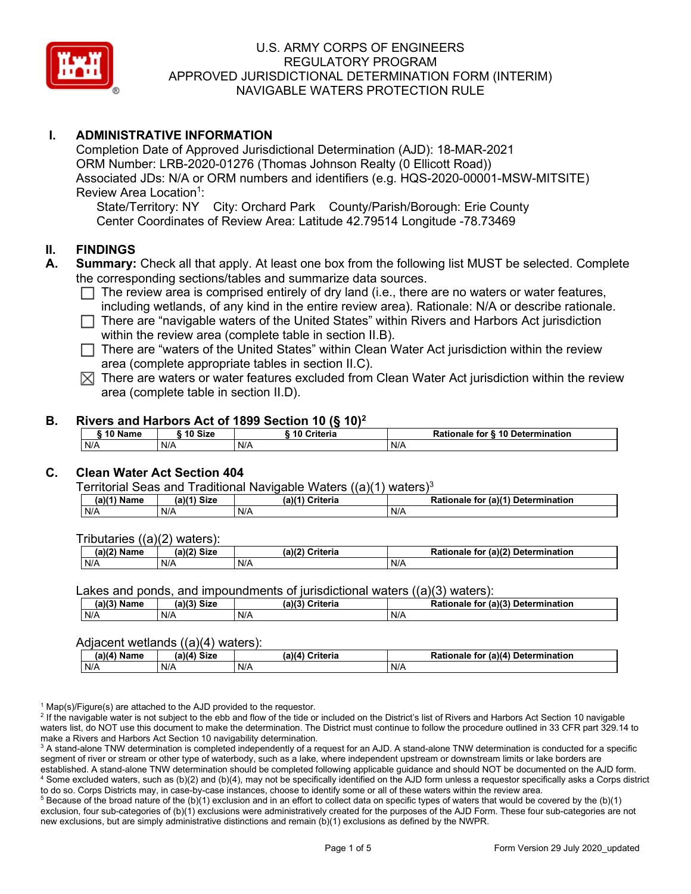

# **I. ADMINISTRATIVE INFORMATION**

Completion Date of Approved Jurisdictional Determination (AJD): 18-MAR-2021 ORM Number: LRB-2020-01276 (Thomas Johnson Realty (0 Ellicott Road)) Associated JDs: N/A or ORM numbers and identifiers (e.g. HQS-2020-00001-MSW-MITSITE) Review Area Location<sup>1</sup>:

State/Territory: NY City: Orchard Park County/Parish/Borough: Erie County Center Coordinates of Review Area: Latitude 42.79514 Longitude -78.73469

## **II. FINDINGS**

- **A. Summary:** Check all that apply. At least one box from the following list MUST be selected. Complete the corresponding sections/tables and summarize data sources.
	- $\Box$  The review area is comprised entirely of dry land (i.e., there are no waters or water features, including wetlands, of any kind in the entire review area). Rationale: N/A or describe rationale.
	- $\Box$  There are "navigable waters of the United States" within Rivers and Harbors Act jurisdiction within the review area (complete table in section II.B).
	- $\Box$  There are "waters of the United States" within Clean Water Act jurisdiction within the review area (complete appropriate tables in section II.C).
	- $\boxtimes$  There are waters or water features excluded from Clean Water Act jurisdiction within the review area (complete table in section II.D).

### **B. Rivers and Harbors Act of 1899 Section 10 (§ 10)2**

|         |         | $1.01$ and the compact of the contract of $\{3, 10\}$ |                                  |
|---------|---------|-------------------------------------------------------|----------------------------------|
| 10 Name | 10 Size | i 10 Criteria                                         | Rationale for § 10 Determination |
| N/A     | N/A     | N/A                                                   | N/A                              |

# **C. Clean Water Act Section 404**

Territorial Seas and Traditional Navigable Waters  $((a)(1)$  waters)<sup>3</sup>

| Nam<br>'am⊾ | (a)(4)<br><b>Size</b> | Criteria<br>(a) | $\alpha$ (a)( <sup>4)</sup><br>Determination<br>tor<br>onaie<br>kativ |
|-------------|-----------------------|-----------------|-----------------------------------------------------------------------|
| N/A         | N/A                   | N/A             | N/A                                                                   |

Tributaries ((a)(2) waters):

| いつい<br>Name<br> | .217<br><b>Size</b> | ີ riteria<br>(a)(2) | $\mathcal{L}$ (a)(2)<br>Detern<br>Do <sup>r</sup><br>mination<br>for |
|-----------------|---------------------|---------------------|----------------------------------------------------------------------|
| N/A             | N/A                 | N/A                 | N/A                                                                  |

Lakes and ponds, and impoundments of jurisdictional waters ((a)(3) waters):

| (a)(3) Name | $(a)(3)$ Size | (a)(?') | Criteria | Rationale | (2)<br><b>Determination</b><br>. for |
|-------------|---------------|---------|----------|-----------|--------------------------------------|
| N/A         | N/A           | N/A     |          | N/A       |                                      |

### Adjacent wetlands ((a)(4) waters):

| $(a)(4)$ Name | (a)(4) Size | .<br>(a)(4) Criteria | Rationale for (a)(4) Determination |
|---------------|-------------|----------------------|------------------------------------|
| N/A           | N/f         | N/A                  | N/A                                |

 $1$  Map(s)/Figure(s) are attached to the AJD provided to the requestor.

<sup>2</sup> If the navigable water is not subject to the ebb and flow of the tide or included on the District's list of Rivers and Harbors Act Section 10 navigable waters list, do NOT use this document to make the determination. The District must continue to follow the procedure outlined in 33 CFR part 329.14 to make a Rivers and Harbors Act Section 10 navigability determination.

<sup>3</sup> A stand-alone TNW determination is completed independently of a request for an AJD. A stand-alone TNW determination is conducted for a specific segment of river or stream or other type of waterbody, such as a lake, where independent upstream or downstream limits or lake borders are established. A stand-alone TNW determination should be completed following applicable guidance and should NOT be documented on the AJD form. <sup>4</sup> Some excluded waters, such as (b)(2) and (b)(4), may not be specifically identified on the AJD form unless a requestor specifically asks a Corps district to do so. Corps Districts may, in case-by-case instances, choose to identify some or all of these waters within the review area.

 $5$  Because of the broad nature of the (b)(1) exclusion and in an effort to collect data on specific types of waters that would be covered by the (b)(1) exclusion, four sub-categories of (b)(1) exclusions were administratively created for the purposes of the AJD Form. These four sub-categories are not new exclusions, but are simply administrative distinctions and remain (b)(1) exclusions as defined by the NWPR.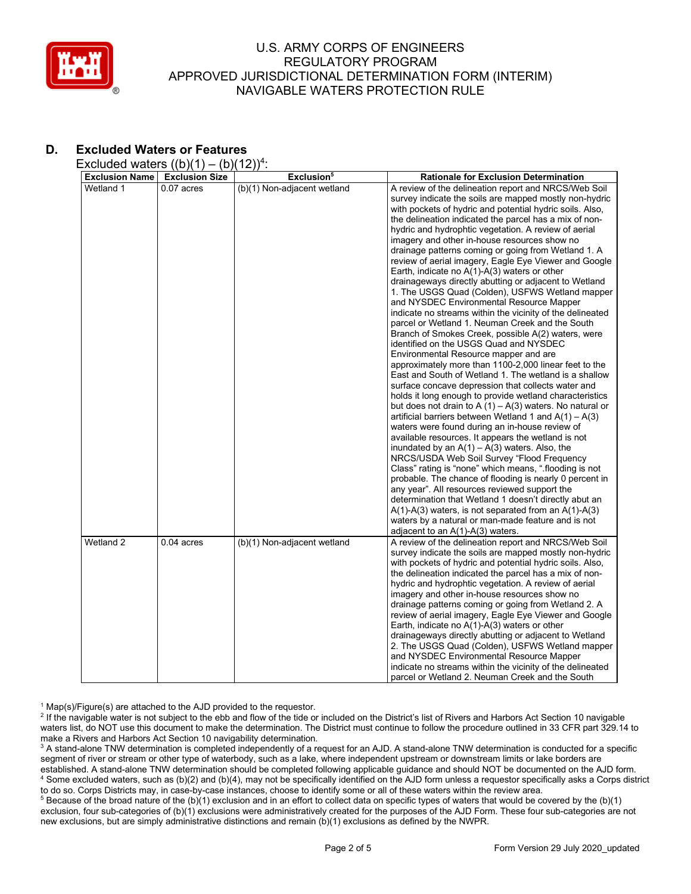

# **D. Excluded Waters or Features**

Excluded waters  $((b)(1) - (b)(12))^4$ :

| <b>Exclusion Name</b> | <b>Exclusion Size</b> | Exclusion <sup>5</sup>      | <b>Rationale for Exclusion Determination</b>                                                                             |
|-----------------------|-----------------------|-----------------------------|--------------------------------------------------------------------------------------------------------------------------|
| Wetland 1             | $0.07$ acres          | (b)(1) Non-adjacent wetland | A review of the delineation report and NRCS/Web Soil                                                                     |
|                       |                       |                             | survey indicate the soils are mapped mostly non-hydric                                                                   |
|                       |                       |                             | with pockets of hydric and potential hydric soils. Also,                                                                 |
|                       |                       |                             | the delineation indicated the parcel has a mix of non-                                                                   |
|                       |                       |                             | hydric and hydrophtic vegetation. A review of aerial                                                                     |
|                       |                       |                             | imagery and other in-house resources show no                                                                             |
|                       |                       |                             | drainage patterns coming or going from Wetland 1. A                                                                      |
|                       |                       |                             | review of aerial imagery, Eagle Eye Viewer and Google                                                                    |
|                       |                       |                             | Earth, indicate no $A(1)-A(3)$ waters or other                                                                           |
|                       |                       |                             | drainageways directly abutting or adjacent to Wetland                                                                    |
|                       |                       |                             | 1. The USGS Quad (Colden), USFWS Wetland mapper                                                                          |
|                       |                       |                             | and NYSDEC Environmental Resource Mapper                                                                                 |
|                       |                       |                             | indicate no streams within the vicinity of the delineated                                                                |
|                       |                       |                             | parcel or Wetland 1. Neuman Creek and the South                                                                          |
|                       |                       |                             | Branch of Smokes Creek, possible A(2) waters, were                                                                       |
|                       |                       |                             | identified on the USGS Quad and NYSDEC                                                                                   |
|                       |                       |                             | Environmental Resource mapper and are                                                                                    |
|                       |                       |                             | approximately more than 1100-2,000 linear feet to the                                                                    |
|                       |                       |                             | East and South of Wetland 1. The wetland is a shallow                                                                    |
|                       |                       |                             | surface concave depression that collects water and                                                                       |
|                       |                       |                             | holds it long enough to provide wetland characteristics                                                                  |
|                       |                       |                             | but does not drain to A $(1)$ – A $(3)$ waters. No natural or<br>artificial barriers between Wetland 1 and $A(1) - A(3)$ |
|                       |                       |                             |                                                                                                                          |
|                       |                       |                             | waters were found during an in-house review of<br>available resources. It appears the wetland is not                     |
|                       |                       |                             | inundated by an $A(1) - A(3)$ waters. Also, the                                                                          |
|                       |                       |                             | NRCS/USDA Web Soil Survey "Flood Frequency                                                                               |
|                       |                       |                             | Class" rating is "none" which means, " flooding is not                                                                   |
|                       |                       |                             | probable. The chance of flooding is nearly 0 percent in                                                                  |
|                       |                       |                             | any year". All resources reviewed support the                                                                            |
|                       |                       |                             | determination that Wetland 1 doesn't directly abut an                                                                    |
|                       |                       |                             | $A(1)-A(3)$ waters, is not separated from an $A(1)-A(3)$                                                                 |
|                       |                       |                             | waters by a natural or man-made feature and is not                                                                       |
|                       |                       |                             | adjacent to an $A(1)-A(3)$ waters.                                                                                       |
| Wetland 2             | $0.04$ acres          | (b)(1) Non-adjacent wetland | A review of the delineation report and NRCS/Web Soil                                                                     |
|                       |                       |                             | survey indicate the soils are mapped mostly non-hydric                                                                   |
|                       |                       |                             | with pockets of hydric and potential hydric soils. Also,                                                                 |
|                       |                       |                             | the delineation indicated the parcel has a mix of non-                                                                   |
|                       |                       |                             | hydric and hydrophtic vegetation. A review of aerial                                                                     |
|                       |                       |                             | imagery and other in-house resources show no                                                                             |
|                       |                       |                             | drainage patterns coming or going from Wetland 2. A                                                                      |
|                       |                       |                             | review of aerial imagery, Eagle Eye Viewer and Google                                                                    |
|                       |                       |                             | Earth, indicate no $A(1)$ - $A(3)$ waters or other                                                                       |
|                       |                       |                             | drainageways directly abutting or adjacent to Wetland                                                                    |
|                       |                       |                             | 2. The USGS Quad (Colden), USFWS Wetland mapper                                                                          |
|                       |                       |                             | and NYSDEC Environmental Resource Mapper                                                                                 |
|                       |                       |                             | indicate no streams within the vicinity of the delineated                                                                |
|                       |                       |                             | parcel or Wetland 2. Neuman Creek and the South                                                                          |

 $1$  Map(s)/Figure(s) are attached to the AJD provided to the requestor.

<sup>2</sup> If the navigable water is not subject to the ebb and flow of the tide or included on the District's list of Rivers and Harbors Act Section 10 navigable waters list, do NOT use this document to make the determination. The District must continue to follow the procedure outlined in 33 CFR part 329.14 to make a Rivers and Harbors Act Section 10 navigability determination.

<sup>3</sup> A stand-alone TNW determination is completed independently of a request for an AJD. A stand-alone TNW determination is conducted for a specific segment of river or stream or other type of waterbody, such as a lake, where independent upstream or downstream limits or lake borders are established. A stand-alone TNW determination should be completed following applicable guidance and should NOT be documented on the AJD form. <sup>4</sup> Some excluded waters, such as (b)(2) and (b)(4), may not be specifically identified on the AJD form unless a requestor specifically asks a Corps district to do so. Corps Districts may, in case-by-case instances, choose to identify some or all of these waters within the review area.

<sup>5</sup> Because of the broad nature of the (b)(1) exclusion and in an effort to collect data on specific types of waters that would be covered by the (b)(1) exclusion, four sub-categories of (b)(1) exclusions were administratively created for the purposes of the AJD Form. These four sub-categories are not new exclusions, but are simply administrative distinctions and remain (b)(1) exclusions as defined by the NWPR.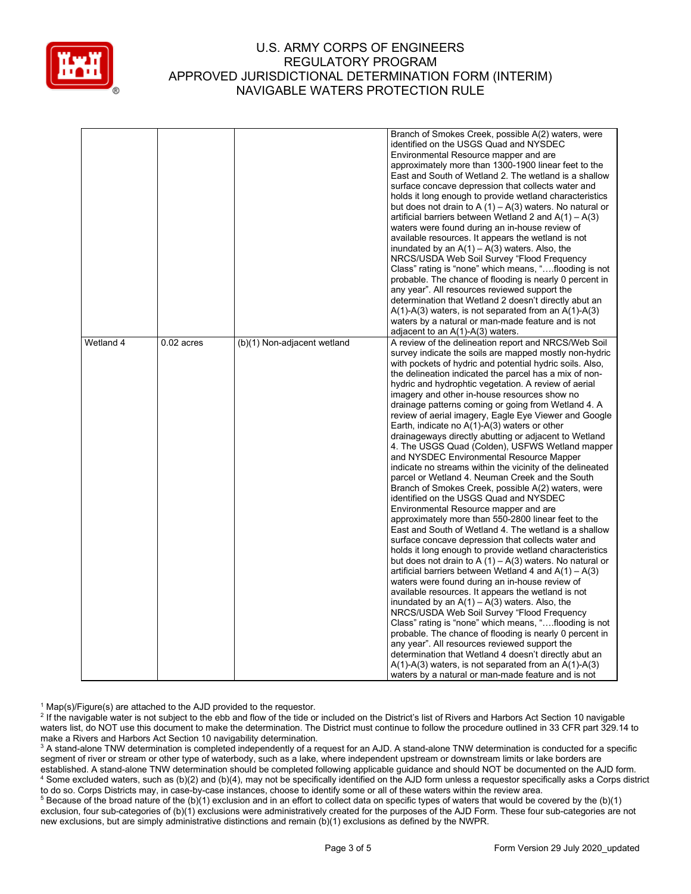

|           |              |                             | Branch of Smokes Creek, possible A(2) waters, were<br>identified on the USGS Quad and NYSDEC<br>Environmental Resource mapper and are<br>approximately more than 1300-1900 linear feet to the<br>East and South of Wetland 2. The wetland is a shallow<br>surface concave depression that collects water and<br>holds it long enough to provide wetland characteristics<br>but does not drain to A $(1)$ – A $(3)$ waters. No natural or<br>artificial barriers between Wetland 2 and $A(1) - A(3)$<br>waters were found during an in-house review of<br>available resources. It appears the wetland is not<br>inundated by an $A(1) - A(3)$ waters. Also, the<br>NRCS/USDA Web Soil Survey "Flood Frequency<br>Class" rating is "none" which means, "flooding is not<br>probable. The chance of flooding is nearly 0 percent in<br>any year". All resources reviewed support the<br>determination that Wetland 2 doesn't directly abut an<br>$A(1)-A(3)$ waters, is not separated from an $A(1)-A(3)$<br>waters by a natural or man-made feature and is not<br>adjacent to an A(1)-A(3) waters.                                                                                                                                                                                                                                                                                                                                                                                                                                                                                                                                                                                                                                                                                                                                                        |
|-----------|--------------|-----------------------------|---------------------------------------------------------------------------------------------------------------------------------------------------------------------------------------------------------------------------------------------------------------------------------------------------------------------------------------------------------------------------------------------------------------------------------------------------------------------------------------------------------------------------------------------------------------------------------------------------------------------------------------------------------------------------------------------------------------------------------------------------------------------------------------------------------------------------------------------------------------------------------------------------------------------------------------------------------------------------------------------------------------------------------------------------------------------------------------------------------------------------------------------------------------------------------------------------------------------------------------------------------------------------------------------------------------------------------------------------------------------------------------------------------------------------------------------------------------------------------------------------------------------------------------------------------------------------------------------------------------------------------------------------------------------------------------------------------------------------------------------------------------------------------------------------------------------------------------------------------|
| Wetland 4 | $0.02$ acres | (b)(1) Non-adjacent wetland | A review of the delineation report and NRCS/Web Soil<br>survey indicate the soils are mapped mostly non-hydric<br>with pockets of hydric and potential hydric soils. Also,<br>the delineation indicated the parcel has a mix of non-<br>hydric and hydrophtic vegetation. A review of aerial<br>imagery and other in-house resources show no<br>drainage patterns coming or going from Wetland 4. A<br>review of aerial imagery, Eagle Eye Viewer and Google<br>Earth, indicate no $A(1)-A(3)$ waters or other<br>drainageways directly abutting or adjacent to Wetland<br>4. The USGS Quad (Colden), USFWS Wetland mapper<br>and NYSDEC Environmental Resource Mapper<br>indicate no streams within the vicinity of the delineated<br>parcel or Wetland 4. Neuman Creek and the South<br>Branch of Smokes Creek, possible A(2) waters, were<br>identified on the USGS Quad and NYSDEC<br>Environmental Resource mapper and are<br>approximately more than 550-2800 linear feet to the<br>East and South of Wetland 4. The wetland is a shallow<br>surface concave depression that collects water and<br>holds it long enough to provide wetland characteristics<br>but does not drain to A $(1)$ – A $(3)$ waters. No natural or<br>artificial barriers between Wetland 4 and $A(1) - A(3)$<br>waters were found during an in-house review of<br>available resources. It appears the wetland is not<br>inundated by an $A(1) - A(3)$ waters. Also, the<br>NRCS/USDA Web Soil Survey "Flood Frequency<br>Class" rating is "none" which means, "flooding is not<br>probable. The chance of flooding is nearly 0 percent in<br>any year". All resources reviewed support the<br>determination that Wetland 4 doesn't directly abut an<br>$A(1)$ -A(3) waters, is not separated from an $A(1)$ -A(3)<br>waters by a natural or man-made feature and is not |

 $1$  Map(s)/Figure(s) are attached to the AJD provided to the requestor.

<sup>2</sup> If the navigable water is not subject to the ebb and flow of the tide or included on the District's list of Rivers and Harbors Act Section 10 navigable waters list, do NOT use this document to make the determination. The District must continue to follow the procedure outlined in 33 CFR part 329.14 to make a Rivers and Harbors Act Section 10 navigability determination.

<sup>3</sup> A stand-alone TNW determination is completed independently of a request for an AJD. A stand-alone TNW determination is conducted for a specific segment of river or stream or other type of waterbody, such as a lake, where independent upstream or downstream limits or lake borders are established. A stand-alone TNW determination should be completed following applicable guidance and should NOT be documented on the AJD form. <sup>4</sup> Some excluded waters, such as (b)(2) and (b)(4), may not be specifically identified on the AJD form unless a requestor specifically asks a Corps district to do so. Corps Districts may, in case-by-case instances, choose to identify some or all of these waters within the review area.

<sup>5</sup> Because of the broad nature of the (b)(1) exclusion and in an effort to collect data on specific types of waters that would be covered by the (b)(1) exclusion, four sub-categories of (b)(1) exclusions were administratively created for the purposes of the AJD Form. These four sub-categories are not new exclusions, but are simply administrative distinctions and remain (b)(1) exclusions as defined by the NWPR.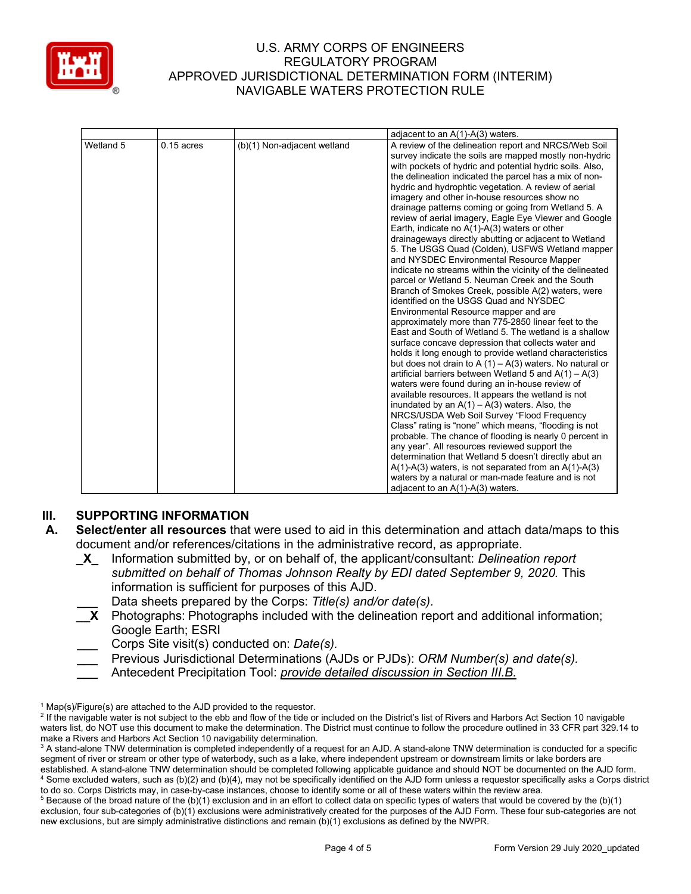

| Wetland 5<br>$0.15$ acres<br>(b)(1) Non-adjacent wetland | A review of the delineation report and NRCS/Web Soil<br>survey indicate the soils are mapped mostly non-hydric                                                                                                                                                                                                                                                                                                                                                                                                                                                                                                                                                                                                                                                                                                                                                                                                                                                                                                                                                                                                                                                                                                                                                                                                                                                                                                                                                                                                                                                                                                                                                                                                                                                            |
|----------------------------------------------------------|---------------------------------------------------------------------------------------------------------------------------------------------------------------------------------------------------------------------------------------------------------------------------------------------------------------------------------------------------------------------------------------------------------------------------------------------------------------------------------------------------------------------------------------------------------------------------------------------------------------------------------------------------------------------------------------------------------------------------------------------------------------------------------------------------------------------------------------------------------------------------------------------------------------------------------------------------------------------------------------------------------------------------------------------------------------------------------------------------------------------------------------------------------------------------------------------------------------------------------------------------------------------------------------------------------------------------------------------------------------------------------------------------------------------------------------------------------------------------------------------------------------------------------------------------------------------------------------------------------------------------------------------------------------------------------------------------------------------------------------------------------------------------|
|                                                          | with pockets of hydric and potential hydric soils. Also,<br>the delineation indicated the parcel has a mix of non-<br>hydric and hydrophtic vegetation. A review of aerial<br>imagery and other in-house resources show no<br>drainage patterns coming or going from Wetland 5. A<br>review of aerial imagery, Eagle Eye Viewer and Google<br>Earth, indicate no $A(1)-A(3)$ waters or other<br>drainageways directly abutting or adjacent to Wetland<br>5. The USGS Quad (Colden), USFWS Wetland mapper<br>and NYSDEC Environmental Resource Mapper<br>indicate no streams within the vicinity of the delineated<br>parcel or Wetland 5. Neuman Creek and the South<br>Branch of Smokes Creek, possible A(2) waters, were<br>identified on the USGS Quad and NYSDEC<br>Environmental Resource mapper and are<br>approximately more than 775-2850 linear feet to the<br>East and South of Wetland 5. The wetland is a shallow<br>surface concave depression that collects water and<br>holds it long enough to provide wetland characteristics<br>but does not drain to A $(1)$ – A $(3)$ waters. No natural or<br>artificial barriers between Wetland 5 and $A(1) - A(3)$<br>waters were found during an in-house review of<br>available resources. It appears the wetland is not<br>inundated by an $A(1) - A(3)$ waters. Also, the<br>NRCS/USDA Web Soil Survey "Flood Frequency<br>Class" rating is "none" which means, "flooding is not<br>probable. The chance of flooding is nearly 0 percent in<br>any year". All resources reviewed support the<br>determination that Wetland 5 doesn't directly abut an<br>$A(1)-A(3)$ waters, is not separated from an $A(1)-A(3)$<br>waters by a natural or man-made feature and is not<br>adjacent to an $A(1)-A(3)$ waters. |

# **III. SUPPORTING INFORMATION**

- **A. Select/enter all resources** that were used to aid in this determination and attach data/maps to this document and/or references/citations in the administrative record, as appropriate.
	- **\_X\_** Information submitted by, or on behalf of, the applicant/consultant: *Delineation report submitted on behalf of Thomas Johnson Realty by EDI dated September 9, 2020.* This information is sufficient for purposes of this AJD.
		- **\_\_\_** Data sheets prepared by the Corps: *Title(s) and/or date(s).*
	- **\_\_X** Photographs: Photographs included with the delineation report and additional information; Google Earth; ESRI
		- **\_\_\_** Corps Site visit(s) conducted on: *Date(s).*
	- **\_\_\_** Previous Jurisdictional Determinations (AJDs or PJDs): *ORM Number(s) and date(s).*
	- **\_\_\_** Antecedent Precipitation Tool: *provide detailed discussion in Section III.B.*

 $1$  Map(s)/Figure(s) are attached to the AJD provided to the requestor.

<sup>&</sup>lt;sup>2</sup> If the navigable water is not subject to the ebb and flow of the tide or included on the District's list of Rivers and Harbors Act Section 10 navigable waters list, do NOT use this document to make the determination. The District must continue to follow the procedure outlined in 33 CFR part 329.14 to make a Rivers and Harbors Act Section 10 navigability determination.

<sup>&</sup>lt;sup>3</sup> A stand-alone TNW determination is completed independently of a request for an AJD. A stand-alone TNW determination is conducted for a specific segment of river or stream or other type of waterbody, such as a lake, where independent upstream or downstream limits or lake borders are established. A stand-alone TNW determination should be completed following applicable guidance and should NOT be documented on the AJD form. <sup>4</sup> Some excluded waters, such as (b)(2) and (b)(4), may not be specifically identified on the AJD form unless a requestor specifically asks a Corps district to do so. Corps Districts may, in case-by-case instances, choose to identify some or all of these waters within the review area.

 $5$  Because of the broad nature of the (b)(1) exclusion and in an effort to collect data on specific types of waters that would be covered by the (b)(1) exclusion, four sub-categories of (b)(1) exclusions were administratively created for the purposes of the AJD Form. These four sub-categories are not new exclusions, but are simply administrative distinctions and remain (b)(1) exclusions as defined by the NWPR.